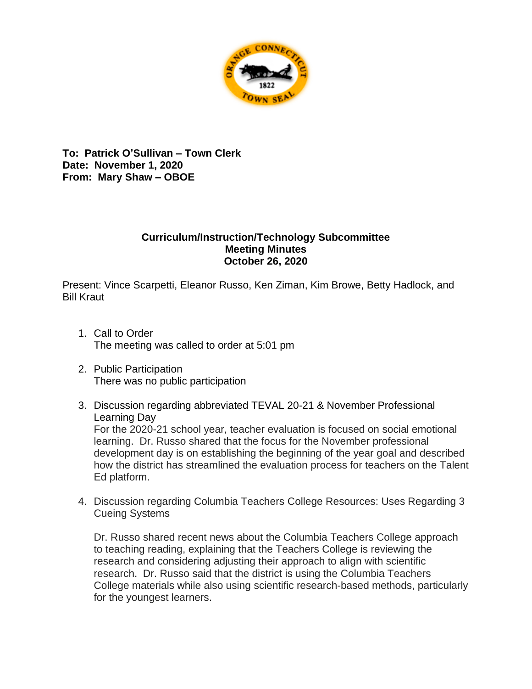

**To: Patrick O'Sullivan – Town Clerk Date: November 1, 2020 From: Mary Shaw – OBOE** 

## **Curriculum/Instruction/Technology Subcommittee Meeting Minutes October 26, 2020**

Present: Vince Scarpetti, Eleanor Russo, Ken Ziman, Kim Browe, Betty Hadlock, and Bill Kraut

- 1. Call to Order The meeting was called to order at 5:01 pm
- 2. Public Participation There was no public participation
- 3. Discussion regarding abbreviated TEVAL 20-21 & November Professional Learning Day

For the 2020-21 school year, teacher evaluation is focused on social emotional learning. Dr. Russo shared that the focus for the November professional development day is on establishing the beginning of the year goal and described how the district has streamlined the evaluation process for teachers on the Talent Ed platform.

4. Discussion regarding Columbia Teachers College Resources: Uses Regarding 3 Cueing Systems

Dr. Russo shared recent news about the Columbia Teachers College approach to teaching reading, explaining that the Teachers College is reviewing the research and considering adjusting their approach to align with scientific research. Dr. Russo said that the district is using the Columbia Teachers College materials while also using scientific research-based methods, particularly for the youngest learners.